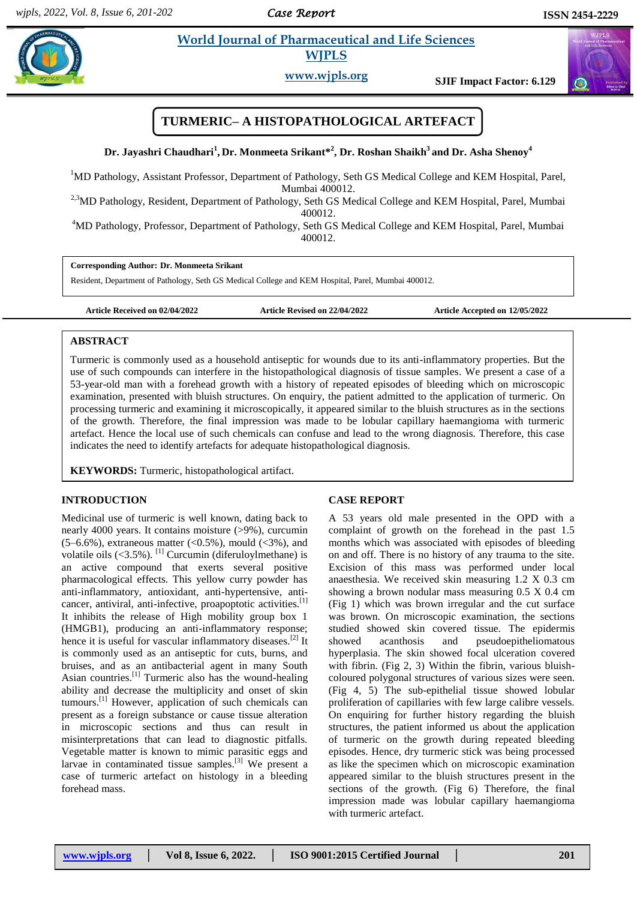*Case Report* 

#### **Jayashrift** *Excellent Life Sciences*  **World Journal of Pharmaceutical and Life Sciences WJPLS**

**www.wjpls.org SJIF Impact Factor: 6.129**

# **TURMERIC– A HISTOPATHOLOGICAL ARTEFACT**

**Dr. Jayashri Chaudhari<sup>1</sup> , Dr. Monmeeta Srikant\* 2 , Dr. Roshan Shaikh<sup>3</sup>and Dr. Asha Shenoy<sup>4</sup>**

<sup>1</sup>MD Pathology, Assistant Professor, Department of Pathology, Seth GS Medical College and KEM Hospital, Parel, Mumbai 400012.

<sup>2,3</sup>MD Pathology, Resident, Department of Pathology, Seth GS Medical College and KEM Hospital, Parel, Mumbai 400012.

<sup>4</sup>MD Pathology, Professor, Department of Pathology, Seth GS Medical College and KEM Hospital, Parel, Mumbai 400012.

**Corresponding Author: Dr. Monmeeta Srikant** 

Resident, Department of Pathology, Seth GS Medical College and KEM Hospital, Parel, Mumbai 400012.

**Article Received on 02/04/2022 Article Revised on 22/04/2022 Article Accepted on 12/05/2022**

## **ABSTRACT**

Turmeric is commonly used as a household antiseptic for wounds due to its anti-inflammatory properties. But the use of such compounds can interfere in the histopathological diagnosis of tissue samples. We present a case of a 53-year-old man with a forehead growth with a history of repeated episodes of bleeding which on microscopic examination, presented with bluish structures. On enquiry, the patient admitted to the application of turmeric. On processing turmeric and examining it microscopically, it appeared similar to the bluish structures as in the sections of the growth. Therefore, the final impression was made to be lobular capillary haemangioma with turmeric artefact. Hence the local use of such chemicals can confuse and lead to the wrong diagnosis. Therefore, this case indicates the need to identify artefacts for adequate histopathological diagnosis.

**KEYWORDS:** Turmeric, histopathological artifact.

# **INTRODUCTION**

Medicinal use of turmeric is well known, dating back to nearly 4000 years. It contains moisture (>9%), curcumin  $(5-6.6\%)$ , extraneous matter  $(<0.5\%)$ , mould  $(<3\%)$ , and volatile oils  $(<3.5\%)$ . <sup>[1]</sup> Curcumin (diferuloylmethane) is an active compound that exerts several positive pharmacological effects. This yellow curry powder has anti-inflammatory, antioxidant, anti-hypertensive, anticancer, antiviral, anti-infective, proapoptotic activities.<sup>[1]</sup> It inhibits the release of High mobility group box 1 (HMGB1), producing an anti-inflammatory response; hence it is useful for vascular inflammatory diseases.[2] It is commonly used as an antiseptic for cuts, burns, and bruises, and as an antibacterial agent in many South Asian countries.[1] Turmeric also has the wound-healing ability and decrease the multiplicity and onset of skin tumours.[1] However, application of such chemicals can present as a foreign substance or cause tissue alteration in microscopic sections and thus can result in misinterpretations that can lead to diagnostic pitfalls. Vegetable matter is known to mimic parasitic eggs and larvae in contaminated tissue samples.<sup>[3]</sup> We present a case of turmeric artefact on histology in a bleeding forehead mass.

# **CASE REPORT**

A 53 years old male presented in the OPD with a complaint of growth on the forehead in the past 1.5 months which was associated with episodes of bleeding on and off. There is no history of any trauma to the site. Excision of this mass was performed under local anaesthesia. We received skin measuring 1.2 X 0.3 cm showing a brown nodular mass measuring 0.5 X 0.4 cm (Fig 1) which was brown irregular and the cut surface was brown. On microscopic examination, the sections studied showed skin covered tissue. The epidermis showed acanthosis and pseudoepitheliomatous hyperplasia. The skin showed focal ulceration covered with fibrin. (Fig 2, 3) Within the fibrin, various bluishcoloured polygonal structures of various sizes were seen. (Fig 4, 5) The sub-epithelial tissue showed lobular proliferation of capillaries with few large calibre vessels. On enquiring for further history regarding the bluish structures, the patient informed us about the application of turmeric on the growth during repeated bleeding episodes. Hence, dry turmeric stick was being processed as like the specimen which on microscopic examination appeared similar to the bluish structures present in the sections of the growth. (Fig 6) Therefore, the final impression made was lobular capillary haemangioma with turmeric artefact.